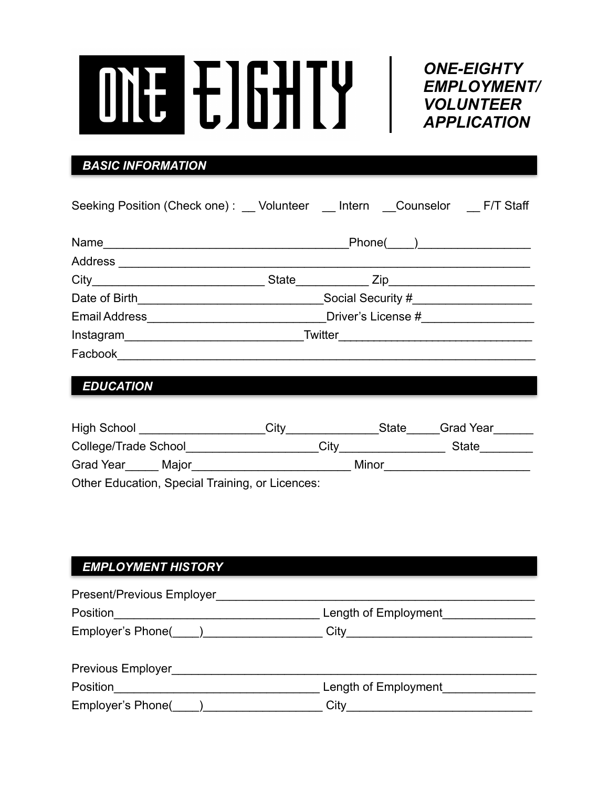*ONE-EIGHTY EMPLOYMENT/ VOLUNTEER APPLICATION*

l

## *BASIC INFORMATION*

| Seeking Position (Check one): Volunteer Intern Counselor F/T Staff |  |             |  |
|--------------------------------------------------------------------|--|-------------|--|
|                                                                    |  | $Phone(\_)$ |  |
|                                                                    |  |             |  |
|                                                                    |  |             |  |
|                                                                    |  |             |  |
|                                                                    |  |             |  |
| Instagram Twitter <b>Example 2018</b> Twitter <b>Example 2018</b>  |  |             |  |
| Facbook <u>______________________________</u>                      |  |             |  |
|                                                                    |  |             |  |
| <b>EDUCATION</b>                                                   |  |             |  |

| <b>High School</b>                              | Citv | State | <b>Grad Year</b> |  |
|-------------------------------------------------|------|-------|------------------|--|
| College/Trade School                            | City |       | State            |  |
| <b>Grad Year</b><br>Major                       |      | Minor |                  |  |
| Other Education, Special Training, or Licences: |      |       |                  |  |

## *EMPLOYMENT HISTORY*

| Present/Previous Employer |                                                                                                                                                                                                                                              |
|---------------------------|----------------------------------------------------------------------------------------------------------------------------------------------------------------------------------------------------------------------------------------------|
| Position                  | Length of Employment                                                                                                                                                                                                                         |
| Employer's Phone( )       |                                                                                                                                                                                                                                              |
|                           |                                                                                                                                                                                                                                              |
| <b>Previous Employer</b>  |                                                                                                                                                                                                                                              |
| Position                  | Length of Employment                                                                                                                                                                                                                         |
|                           | City<br><u>and the company of the company of the company of the company of the company of the company of the company of the company of the company of the company of the company of the company of the company of the company of the com</u> |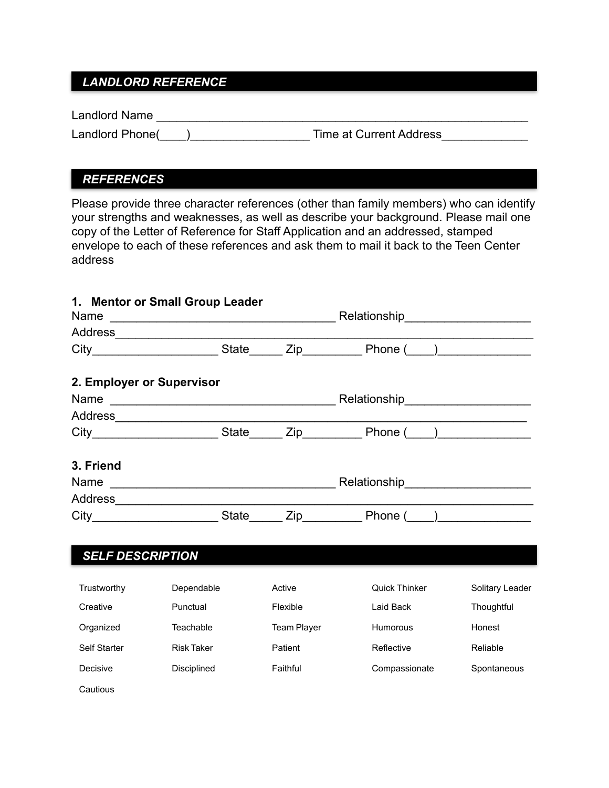## *LANDLORD REFERENCE*

Landlord Name \_\_\_\_\_\_\_\_\_\_\_\_\_\_\_\_\_\_\_\_\_\_\_\_\_\_\_\_\_\_\_\_\_\_\_\_\_\_\_\_\_\_\_\_\_\_\_\_\_\_\_\_\_\_\_\_

Landlord Phone(\_\_\_\_)\_\_\_\_\_\_\_\_\_\_\_\_\_\_\_\_\_\_ Time at Current Address\_\_\_\_\_\_\_\_\_\_\_\_\_

### *REFERENCES*

Please provide three character references (other than family members) who can identify your strengths and weaknesses, as well as describe your background. Please mail one copy of the Letter of Reference for Staff Application and an addressed, stamped envelope to each of these references and ask them to mail it back to the Teen Center address

|                           | 1. Mentor or Small Group Leader |                    | Relationship<br><u>Example 2014</u>                                                     |                 |
|---------------------------|---------------------------------|--------------------|-----------------------------------------------------------------------------------------|-----------------|
|                           |                                 |                    |                                                                                         |                 |
|                           |                                 |                    | City_________________________State_______ Zip______________Phone (____)________________ |                 |
| 2. Employer or Supervisor |                                 |                    |                                                                                         |                 |
|                           |                                 |                    |                                                                                         |                 |
|                           |                                 |                    |                                                                                         |                 |
|                           |                                 |                    |                                                                                         |                 |
| 3. Friend                 |                                 |                    |                                                                                         |                 |
|                           |                                 |                    |                                                                                         |                 |
|                           |                                 |                    |                                                                                         |                 |
|                           |                                 |                    | City________________________State_______ Zip______________Phone (____)___________       |                 |
| <b>SELF DESCRIPTION</b>   |                                 |                    |                                                                                         |                 |
| Trustworthy               | Dependable                      | Active             | Quick Thinker                                                                           | Solitary Leader |
| Creative                  | Punctual                        | Flexible           | Laid Back                                                                               | Thoughtful      |
| Organized                 | Teachable                       | <b>Team Player</b> | Humorous                                                                                | Honest          |
| Self Starter              | <b>Risk Taker</b>               | Patient            | Reflective                                                                              | Reliable        |
| Decisive                  | Disciplined                     | Faithful           | Compassionate                                                                           | Spontaneous     |
| Cautious                  |                                 |                    |                                                                                         |                 |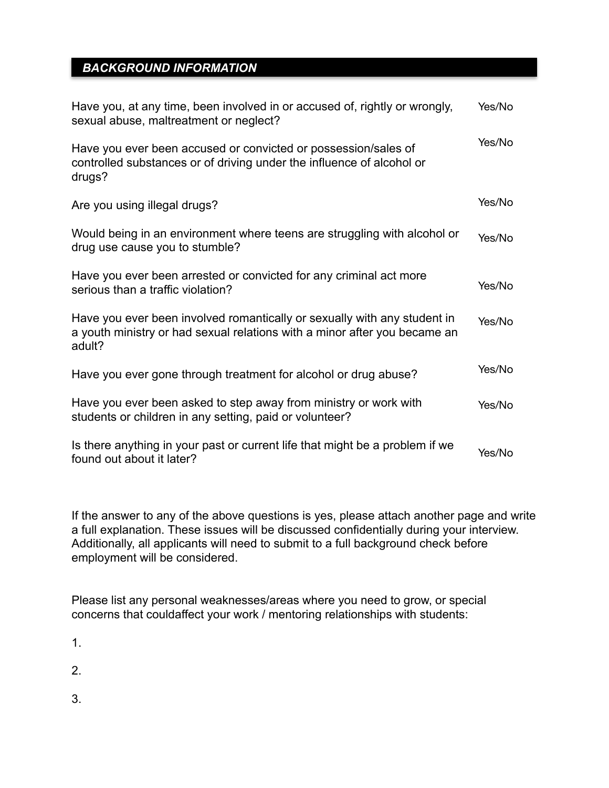## *BACKGROUND INFORMATION*

| Have you, at any time, been involved in or accused of, rightly or wrongly,<br>sexual abuse, maltreatment or neglect?                                            | Yes/No |
|-----------------------------------------------------------------------------------------------------------------------------------------------------------------|--------|
| Have you ever been accused or convicted or possession/sales of<br>controlled substances or of driving under the influence of alcohol or<br>drugs?               | Yes/No |
| Are you using illegal drugs?                                                                                                                                    | Yes/No |
| Would being in an environment where teens are struggling with alcohol or<br>drug use cause you to stumble?                                                      | Yes/No |
| Have you ever been arrested or convicted for any criminal act more<br>serious than a traffic violation?                                                         | Yes/No |
| Have you ever been involved romantically or sexually with any student in<br>a youth ministry or had sexual relations with a minor after you became an<br>adult? | Yes/No |
| Have you ever gone through treatment for alcohol or drug abuse?                                                                                                 | Yes/No |
| Have you ever been asked to step away from ministry or work with<br>students or children in any setting, paid or volunteer?                                     | Yes/No |
| Is there anything in your past or current life that might be a problem if we<br>found out about it later?                                                       | Yes/No |

If the answer to any of the above questions is yes, please attach another page and write a full explanation. These issues will be discussed confidentially during your interview. Additionally, all applicants will need to submit to a full background check before employment will be considered.

Please list any personal weaknesses/areas where you need to grow, or special concerns that couldaffect your work / mentoring relationships with students:

1.

2.

3.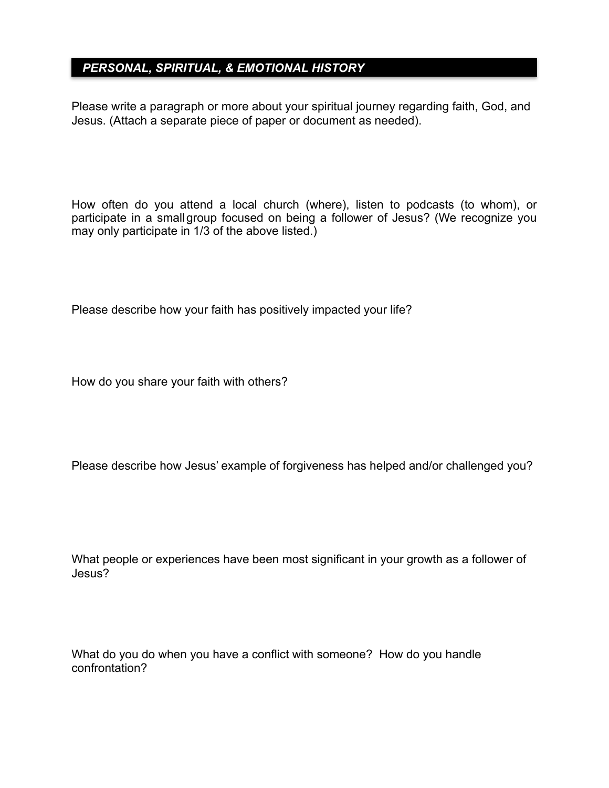## *PERSONAL, SPIRITUAL, & EMOTIONAL HISTORY*

Please write a paragraph or more about your spiritual journey regarding faith, God, and Jesus. (Attach a separate piece of paper or document as needed).

How often do you attend a local church (where), listen to podcasts (to whom), or participate in a smallgroup focused on being a follower of Jesus? (We recognize you may only participate in 1/3 of the above listed.)

Please describe how your faith has positively impacted your life?

How do you share your faith with others?

Please describe how Jesus' example of forgiveness has helped and/or challenged you?

What people or experiences have been most significant in your growth as a follower of Jesus?

What do you do when you have a conflict with someone? How do you handle confrontation?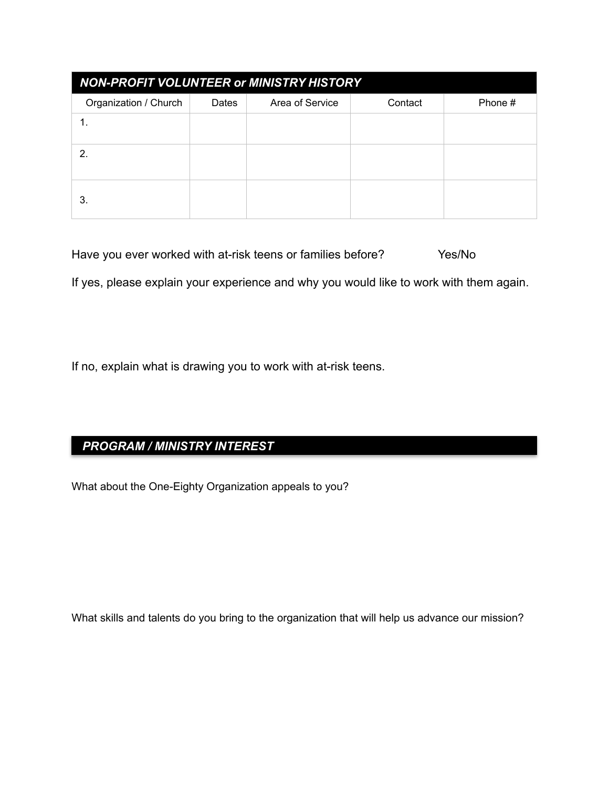| <b>NON-PROFIT VOLUNTEER or MINISTRY HISTORY</b> |       |                 |         |         |  |
|-------------------------------------------------|-------|-----------------|---------|---------|--|
| Organization / Church                           | Dates | Area of Service | Contact | Phone # |  |
|                                                 |       |                 |         |         |  |
| 2                                               |       |                 |         |         |  |
| 3.                                              |       |                 |         |         |  |

| Have you ever worked with at-risk teens or families before? | Yes/No |  |
|-------------------------------------------------------------|--------|--|
|-------------------------------------------------------------|--------|--|

If yes, please explain your experience and why you would like to work with them again.

If no, explain what is drawing you to work with at-risk teens.

# *PROGRAM / MINISTRY INTEREST*

What about the One-Eighty Organization appeals to you?

What skills and talents do you bring to the organization that will help us advance our mission?